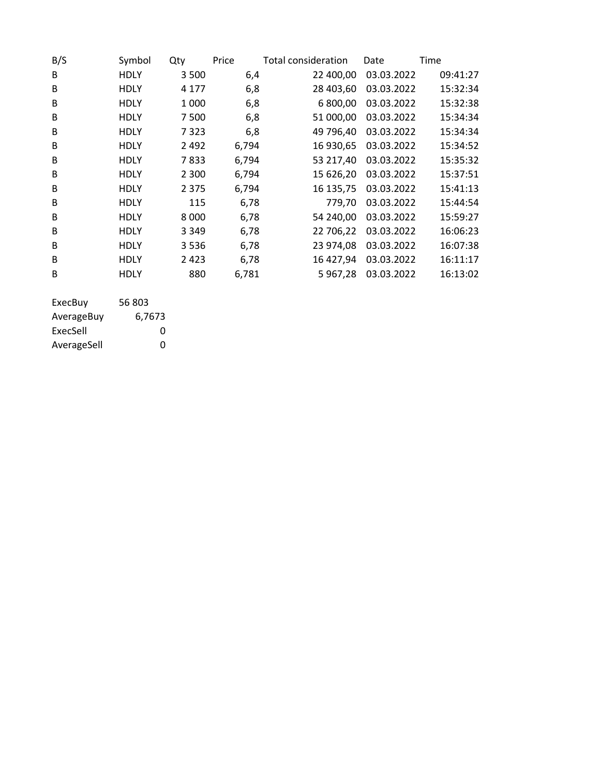| B/S | Symbol      | Qty     | Price | Total consideration | Date       | Time     |
|-----|-------------|---------|-------|---------------------|------------|----------|
| B   | <b>HDLY</b> | 3 5 0 0 | 6,4   | 22 400,00           | 03.03.2022 | 09:41:27 |
| B   | <b>HDLY</b> | 4 1 7 7 | 6,8   | 28 403,60           | 03.03.2022 | 15:32:34 |
| B   | <b>HDLY</b> | 1 0 0 0 | 6,8   | 6 800,00            | 03.03.2022 | 15:32:38 |
| B   | <b>HDLY</b> | 7500    | 6,8   | 51 000,00           | 03.03.2022 | 15:34:34 |
| B   | <b>HDLY</b> | 7323    | 6,8   | 49 796,40           | 03.03.2022 | 15:34:34 |
| B   | <b>HDLY</b> | 2492    | 6,794 | 16 930,65           | 03.03.2022 | 15:34:52 |
| B   | <b>HDLY</b> | 7833    | 6,794 | 53 217,40           | 03.03.2022 | 15:35:32 |
| B   | <b>HDLY</b> | 2 3 0 0 | 6,794 | 15 626,20           | 03.03.2022 | 15:37:51 |
| B   | <b>HDLY</b> | 2 3 7 5 | 6,794 | 16 135,75           | 03.03.2022 | 15:41:13 |
| B   | <b>HDLY</b> | 115     | 6,78  | 779,70              | 03.03.2022 | 15:44:54 |
| B   | <b>HDLY</b> | 8 0 0 0 | 6,78  | 54 240,00           | 03.03.2022 | 15:59:27 |
| B   | <b>HDLY</b> | 3 3 4 9 | 6,78  | 22 706,22           | 03.03.2022 | 16:06:23 |
| B   | <b>HDLY</b> | 3536    | 6,78  | 23 974,08           | 03.03.2022 | 16:07:38 |
| B   | <b>HDLY</b> | 2423    | 6,78  | 16 427,94           | 03.03.2022 | 16:11:17 |
| B   | <b>HDLY</b> | 880     | 6,781 | 5967,28             | 03.03.2022 | 16:13:02 |
|     |             |         |       |                     |            |          |

| 56 803 |
|--------|
| 6,7673 |
| O      |
| O      |
|        |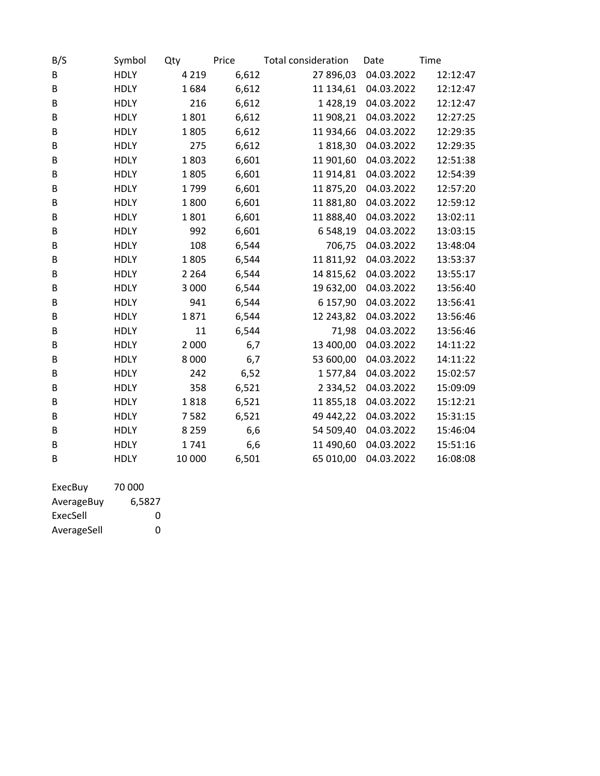| B/S | Symbol      | Qty     | Price | <b>Total consideration</b> | Date       | Time     |
|-----|-------------|---------|-------|----------------------------|------------|----------|
| B   | <b>HDLY</b> | 4 2 1 9 | 6,612 | 27 896,03                  | 04.03.2022 | 12:12:47 |
| B   | <b>HDLY</b> | 1684    | 6,612 | 11 134,61                  | 04.03.2022 | 12:12:47 |
| В   | <b>HDLY</b> | 216     | 6,612 | 1428,19                    | 04.03.2022 | 12:12:47 |
| B   | <b>HDLY</b> | 1801    | 6,612 | 11 908,21                  | 04.03.2022 | 12:27:25 |
| B   | <b>HDLY</b> | 1805    | 6,612 | 11 934,66                  | 04.03.2022 | 12:29:35 |
| В   | <b>HDLY</b> | 275     | 6,612 | 1818,30                    | 04.03.2022 | 12:29:35 |
| B   | <b>HDLY</b> | 1803    | 6,601 | 11 901,60                  | 04.03.2022 | 12:51:38 |
| B   | <b>HDLY</b> | 1805    | 6,601 | 11 914,81                  | 04.03.2022 | 12:54:39 |
| B   | <b>HDLY</b> | 1799    | 6,601 | 11875,20                   | 04.03.2022 | 12:57:20 |
| B   | <b>HDLY</b> | 1800    | 6,601 | 11 881,80                  | 04.03.2022 | 12:59:12 |
| В   | <b>HDLY</b> | 1801    | 6,601 | 11 888,40                  | 04.03.2022 | 13:02:11 |
| B   | <b>HDLY</b> | 992     | 6,601 | 6 548,19                   | 04.03.2022 | 13:03:15 |
| В   | <b>HDLY</b> | 108     | 6,544 | 706,75                     | 04.03.2022 | 13:48:04 |
| В   | <b>HDLY</b> | 1805    | 6,544 | 11811,92                   | 04.03.2022 | 13:53:37 |
| B   | <b>HDLY</b> | 2 2 6 4 | 6,544 | 14 815,62                  | 04.03.2022 | 13:55:17 |
| B   | <b>HDLY</b> | 3 0 0 0 | 6,544 | 19 632,00                  | 04.03.2022 | 13:56:40 |
| В   | <b>HDLY</b> | 941     | 6,544 | 6 157,90                   | 04.03.2022 | 13:56:41 |
| B   | <b>HDLY</b> | 1871    | 6,544 | 12 243,82                  | 04.03.2022 | 13:56:46 |
| B   | <b>HDLY</b> | 11      | 6,544 | 71,98                      | 04.03.2022 | 13:56:46 |
| B   | <b>HDLY</b> | 2 0 0 0 | 6,7   | 13 400,00                  | 04.03.2022 | 14:11:22 |
| B   | <b>HDLY</b> | 8 0 0 0 | 6,7   | 53 600,00                  | 04.03.2022 | 14:11:22 |
| B   | <b>HDLY</b> | 242     | 6,52  | 1577,84                    | 04.03.2022 | 15:02:57 |
| B   | <b>HDLY</b> | 358     | 6,521 | 2 3 3 4 , 5 2              | 04.03.2022 | 15:09:09 |
| B   | <b>HDLY</b> | 1818    | 6,521 | 11855,18                   | 04.03.2022 | 15:12:21 |
| В   | <b>HDLY</b> | 7582    | 6,521 | 49 442,22                  | 04.03.2022 | 15:31:15 |
| B   | <b>HDLY</b> | 8 2 5 9 | 6,6   | 54 509,40                  | 04.03.2022 | 15:46:04 |
| B   | <b>HDLY</b> | 1741    | 6,6   | 11 490,60                  | 04.03.2022 | 15:51:16 |
| B   | <b>HDLY</b> | 10 000  | 6,501 | 65 010,00                  | 04.03.2022 | 16:08:08 |
|     |             |         |       |                            |            |          |

| ExecBuy     | 70 000 |
|-------------|--------|
| AverageBuy  | 6,5827 |
| ExecSell    | O      |
| AverageSell | O      |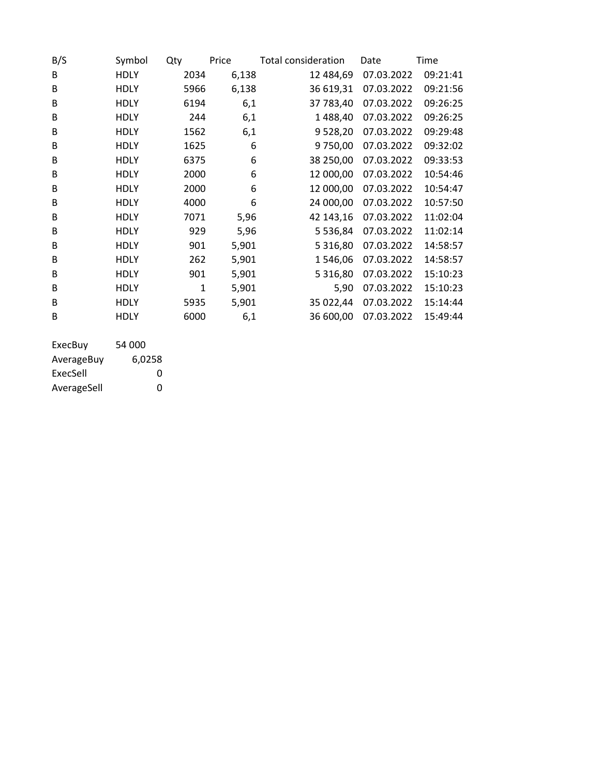| B/S | Symbol      | Qty  | Price | Total consideration | Date       | Time     |
|-----|-------------|------|-------|---------------------|------------|----------|
| B   | <b>HDLY</b> | 2034 | 6,138 | 12 484,69           | 07.03.2022 | 09:21:41 |
| B   | <b>HDLY</b> | 5966 | 6,138 | 36 619,31           | 07.03.2022 | 09:21:56 |
| B   | <b>HDLY</b> | 6194 | 6,1   | 37 783,40           | 07.03.2022 | 09:26:25 |
| B   | <b>HDLY</b> | 244  | 6,1   | 1488,40             | 07.03.2022 | 09:26:25 |
| B   | <b>HDLY</b> | 1562 | 6,1   | 9528,20             | 07.03.2022 | 09:29:48 |
| B   | <b>HDLY</b> | 1625 | 6     | 9750,00             | 07.03.2022 | 09:32:02 |
| B   | <b>HDLY</b> | 6375 | 6     | 38 250,00           | 07.03.2022 | 09:33:53 |
| B   | <b>HDLY</b> | 2000 | 6     | 12 000,00           | 07.03.2022 | 10:54:46 |
| B   | <b>HDLY</b> | 2000 | 6     | 12 000,00           | 07.03.2022 | 10:54:47 |
| B   | <b>HDLY</b> | 4000 | 6     | 24 000,00           | 07.03.2022 | 10:57:50 |
| B   | <b>HDLY</b> | 7071 | 5,96  | 42 143,16           | 07.03.2022 | 11:02:04 |
| B   | <b>HDLY</b> | 929  | 5,96  | 5 5 3 6 , 8 4       | 07.03.2022 | 11:02:14 |
| B   | <b>HDLY</b> | 901  | 5,901 | 5 3 1 6,80          | 07.03.2022 | 14:58:57 |
| B   | <b>HDLY</b> | 262  | 5,901 | 1546,06             | 07.03.2022 | 14:58:57 |
| B   | <b>HDLY</b> | 901  | 5,901 | 5 3 1 6,80          | 07.03.2022 | 15:10:23 |
| B   | <b>HDLY</b> | 1    | 5,901 | 5,90                | 07.03.2022 | 15:10:23 |
| B   | <b>HDLY</b> | 5935 | 5,901 | 35 022,44           | 07.03.2022 | 15:14:44 |
| B   | <b>HDLY</b> | 6000 | 6,1   | 36 600,00           | 07.03.2022 | 15:49:44 |
|     |             |      |       |                     |            |          |

| ExecBuy     | 54 000 |
|-------------|--------|
| AverageBuy  | 6,0258 |
| ExecSell    | O      |
| AverageSell | O      |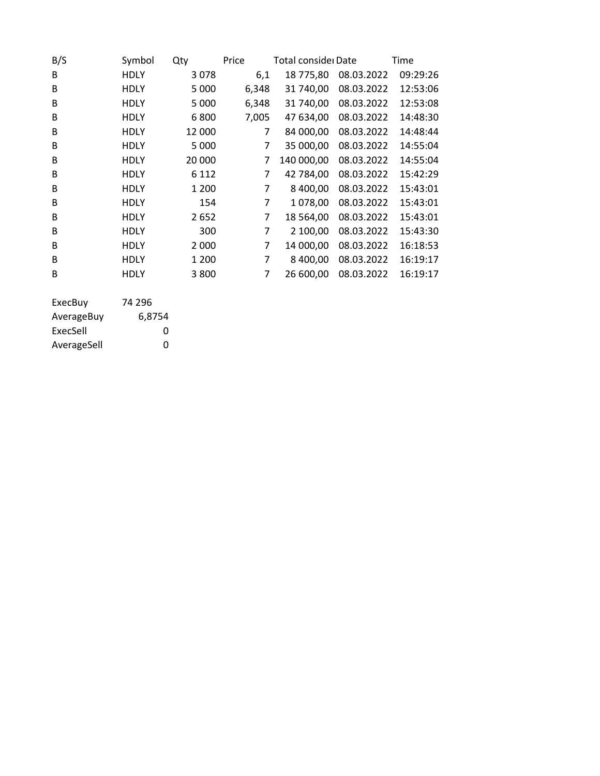| B/S | Symbol      | Qty     | Price          | Total consider Date |            | Time     |
|-----|-------------|---------|----------------|---------------------|------------|----------|
| B   | HDLY        | 3078    | 6,1            | 18 775,80           | 08.03.2022 | 09:29:26 |
| B   | <b>HDLY</b> | 5 000   | 6,348          | 31 740,00           | 08.03.2022 | 12:53:06 |
| B   | <b>HDLY</b> | 5 0 0 0 | 6,348          | 31 740,00           | 08.03.2022 | 12:53:08 |
| B   | <b>HDLY</b> | 6800    | 7,005          | 47 634,00           | 08.03.2022 | 14:48:30 |
| B   | <b>HDLY</b> | 12 000  | 7              | 84 000,00           | 08.03.2022 | 14:48:44 |
| B   | <b>HDLY</b> | 5 0 0 0 | $\overline{7}$ | 35 000,00           | 08.03.2022 | 14:55:04 |
| B   | <b>HDLY</b> | 20 000  | 7              | 140 000,00          | 08.03.2022 | 14:55:04 |
| B   | <b>HDLY</b> | 6 1 1 2 | 7              | 42 784,00           | 08.03.2022 | 15:42:29 |
| B   | <b>HDLY</b> | 1 200   | 7              | 8 400,00            | 08.03.2022 | 15:43:01 |
| B   | <b>HDLY</b> | 154     | 7              | 1078,00             | 08.03.2022 | 15:43:01 |
| B   | <b>HDLY</b> | 2652    | 7              | 18 5 64,00          | 08.03.2022 | 15:43:01 |
| B   | <b>HDLY</b> | 300     | 7              | 2 100,00            | 08.03.2022 | 15:43:30 |
| B   | <b>HDLY</b> | 2 0 0 0 | 7              | 14 000,00           | 08.03.2022 | 16:18:53 |
| B   | <b>HDLY</b> | 1 200   | 7              | 8 400,00            | 08.03.2022 | 16:19:17 |
| B   | <b>HDLY</b> | 3800    | 7              | 26 600,00           | 08.03.2022 | 16:19:17 |
|     |             |         |                |                     |            |          |

| 74 296 |
|--------|
| 6,8754 |
| O      |
| O      |
|        |